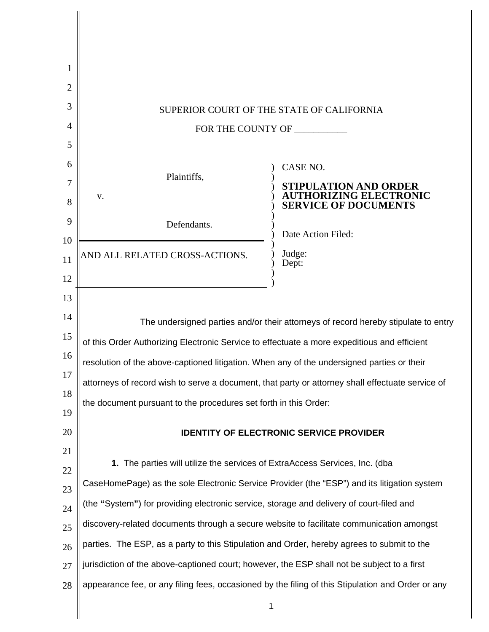| 1        |                                                                                                   |                                                                                       |  |
|----------|---------------------------------------------------------------------------------------------------|---------------------------------------------------------------------------------------|--|
| 2        |                                                                                                   |                                                                                       |  |
| 3        |                                                                                                   | SUPERIOR COURT OF THE STATE OF CALIFORNIA                                             |  |
| 4        |                                                                                                   | FOR THE COUNTY OF                                                                     |  |
| 5        |                                                                                                   |                                                                                       |  |
| 6        | Plaintiffs,                                                                                       | CASE NO.                                                                              |  |
| 7<br>8   | V.                                                                                                | STIPULATION AND ORDER<br><b>AUTHORIZING ELECTRONIC</b><br><b>SERVICE OF DOCUMENTS</b> |  |
| 9        | Defendants.                                                                                       | Date Action Filed:                                                                    |  |
| 10<br>11 | AND ALL RELATED CROSS-ACTIONS.                                                                    | Judge:<br>Dept:                                                                       |  |
| 12       |                                                                                                   |                                                                                       |  |
| 13       |                                                                                                   |                                                                                       |  |
| 14       |                                                                                                   | The undersigned parties and/or their attorneys of record hereby stipulate to entry    |  |
| 15       | of this Order Authorizing Electronic Service to effectuate a more expeditious and efficient       |                                                                                       |  |
| 16       | resolution of the above-captioned litigation. When any of the undersigned parties or their        |                                                                                       |  |
| 17       | attorneys of record wish to serve a document, that party or attorney shall effectuate service of  |                                                                                       |  |
| 18       | the document pursuant to the procedures set forth in this Order:                                  |                                                                                       |  |
| 19       |                                                                                                   |                                                                                       |  |
| 20       | <b>IDENTITY OF ELECTRONIC SERVICE PROVIDER</b>                                                    |                                                                                       |  |
| 21<br>22 | 1. The parties will utilize the services of ExtraAccess Services, Inc. (dba                       |                                                                                       |  |
| 23       | CaseHomePage) as the sole Electronic Service Provider (the "ESP") and its litigation system       |                                                                                       |  |
| 24       | (the "System") for providing electronic service, storage and delivery of court-filed and          |                                                                                       |  |
| 25       | discovery-related documents through a secure website to facilitate communication amongst          |                                                                                       |  |
| 26       | parties. The ESP, as a party to this Stipulation and Order, hereby agrees to submit to the        |                                                                                       |  |
| 27       | jurisdiction of the above-captioned court; however, the ESP shall not be subject to a first       |                                                                                       |  |
| 28       | appearance fee, or any filing fees, occasioned by the filing of this Stipulation and Order or any |                                                                                       |  |
|          |                                                                                                   | 1                                                                                     |  |
|          |                                                                                                   |                                                                                       |  |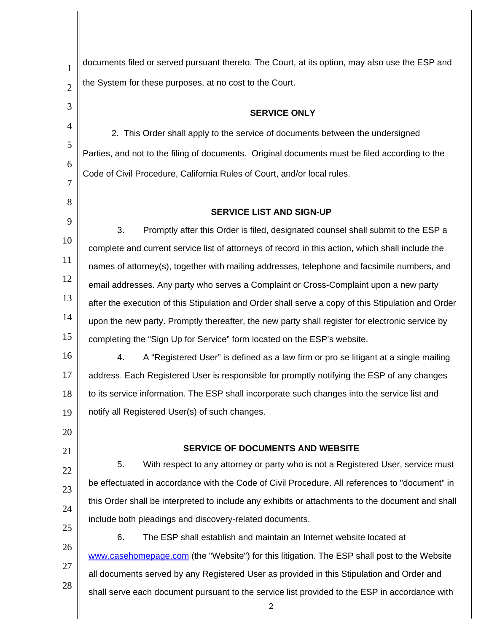2 1 2 3 4 5 6 7 8 9 10 11 12 13 14 15 16 17 18 19 20 21 22 23 24 25 26 27 28 documents filed or served pursuant thereto. The Court, at its option, may also use the ESP and the System for these purposes, at no cost to the Court. **SERVICE ONLY**  2. This Order shall apply to the service of documents between the undersigned Parties, and not to the filing of documents. Original documents must be filed according to the Code of Civil Procedure, California Rules of Court, and/or local rules. **SERVICE LIST AND SIGN-UP**  3. Promptly after this Order is filed, designated counsel shall submit to the ESP a complete and current service list of attorneys of record in this action, which shall include the names of attorney(s), together with mailing addresses, telephone and facsimile numbers, and email addresses. Any party who serves a Complaint or Cross-Complaint upon a new party after the execution of this Stipulation and Order shall serve a copy of this Stipulation and Order upon the new party. Promptly thereafter, the new party shall register for electronic service by completing the "Sign Up for Service" form located on the ESP's website. 4. A "Registered User" is defined as a law firm or pro se litigant at a single mailing address. Each Registered User is responsible for promptly notifying the ESP of any changes to its service information. The ESP shall incorporate such changes into the service list and notify all Registered User(s) of such changes. **SERVICE OF DOCUMENTS AND WEBSITE**  5. With respect to any attorney or party who is not a Registered User, service must be effectuated in accordance with the Code of Civil Procedure. All references to "document" in this Order shall be interpreted to include any exhibits or attachments to the document and shall include both pleadings and discovery-related documents. 6. The ESP shall establish and maintain an Internet website located at www.casehomepage.com (the "Website") for this litigation. The ESP shall post to the Website all documents served by any Registered User as provided in this Stipulation and Order and shall serve each document pursuant to the service list provided to the ESP in accordance with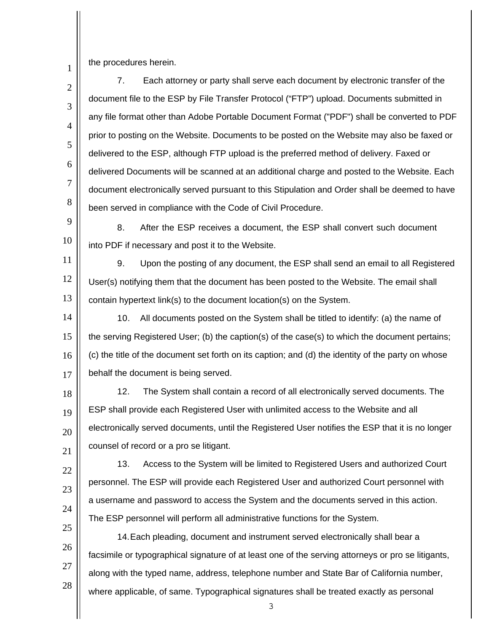the procedures herein.

1

2 3 4 5 6 7 8 7. Each attorney or party shall serve each document by electronic transfer of the document file to the ESP by File Transfer Protocol ("FTP") upload. Documents submitted in any file format other than Adobe Portable Document Format ("PDF") shall be converted to PDF prior to posting on the Website. Documents to be posted on the Website may also be faxed or delivered to the ESP, although FTP upload is the preferred method of delivery. Faxed or delivered Documents will be scanned at an additional charge and posted to the Website. Each document electronically served pursuant to this Stipulation and Order shall be deemed to have been served in compliance with the Code of Civil Procedure.

9 10 8. After the ESP receives a document, the ESP shall convert such document into PDF if necessary and post it to the Website.

11 12 13 9. Upon the posting of any document, the ESP shall send an email to all Registered User(s) notifying them that the document has been posted to the Website. The email shall contain hypertext link(s) to the document location(s) on the System.

14 15 16 17 10. All documents posted on the System shall be titled to identify: (a) the name of the serving Registered User; (b) the caption(s) of the case(s) to which the document pertains; (c) the title of the document set forth on its caption; and (d) the identity of the party on whose behalf the document is being served.

18 19 20 21 12. The System shall contain a record of all electronically served documents. The ESP shall provide each Registered User with unlimited access to the Website and all electronically served documents, until the Registered User notifies the ESP that it is no longer counsel of record or a pro se litigant.

22 23 24 25 13. Access to the System will be limited to Registered Users and authorized Court personnel. The ESP will provide each Registered User and authorized Court personnel with a username and password to access the System and the documents served in this action. The ESP personnel will perform all administrative functions for the System.

26 27 28 14. Each pleading, document and instrument served electronically shall bear a facsimile or typographical signature of at least one of the serving attorneys or pro se litigants, along with the typed name, address, telephone number and State Bar of California number, where applicable, of same. Typographical signatures shall be treated exactly as personal

3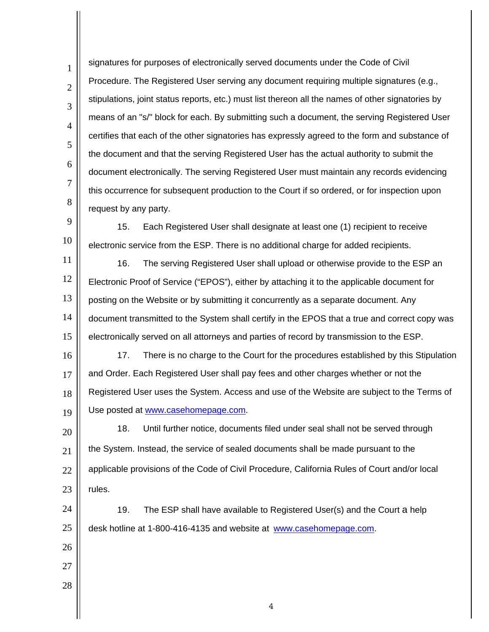signatures for purposes of electronically served documents under the Code of Civil Procedure. The Registered User serving any document requiring multiple signatures (e.g., stipulations, joint status reports, etc.) must list thereon all the names of other signatories by means of an "s/" block for each. By submitting such a document, the serving Registered User certifies that each of the other signatories has expressly agreed to the form and substance of the document and that the serving Registered User has the actual authority to submit the document electronically. The serving Registered User must maintain any records evidencing this occurrence for subsequent production to the Court if so ordered, or for inspection upon request by any party.

9 10 15. Each Registered User shall designate at least one (1) recipient to receive electronic service from the ESP. There is no additional charge for added recipients.

11 12 13 14 15 16. The serving Registered User shall upload or otherwise provide to the ESP an Electronic Proof of Service ("EPOS"), either by attaching it to the applicable document for posting on the Website or by submitting it concurrently as a separate document. Any document transmitted to the System shall certify in the EPOS that a true and correct copy was electronically served on all attorneys and parties of record by transmission to the ESP.

16 17 18 19 17. There is no charge to the Court for the procedures established by this Stipulation and Order. Each Registered User shall pay fees and other charges whether or not the Registered User uses the System. Access and use of the Website are subject to the Terms of Use posted at www.casehomepage.com.

20 21 22 23 18. Until further notice, documents filed under seal shall not be served through the System. Instead, the service of sealed documents shall be made pursuant to the applicable provisions of the Code of Civil Procedure, California Rules of Court and/or local rules.

24 25 19. The ESP shall have available to Registered User(s) and the Court a help desk hotline at 1-800-416-4135 and website at www.casehomepage.com.

26

1

2

3

4

5

6

7

8

- 27
- 28